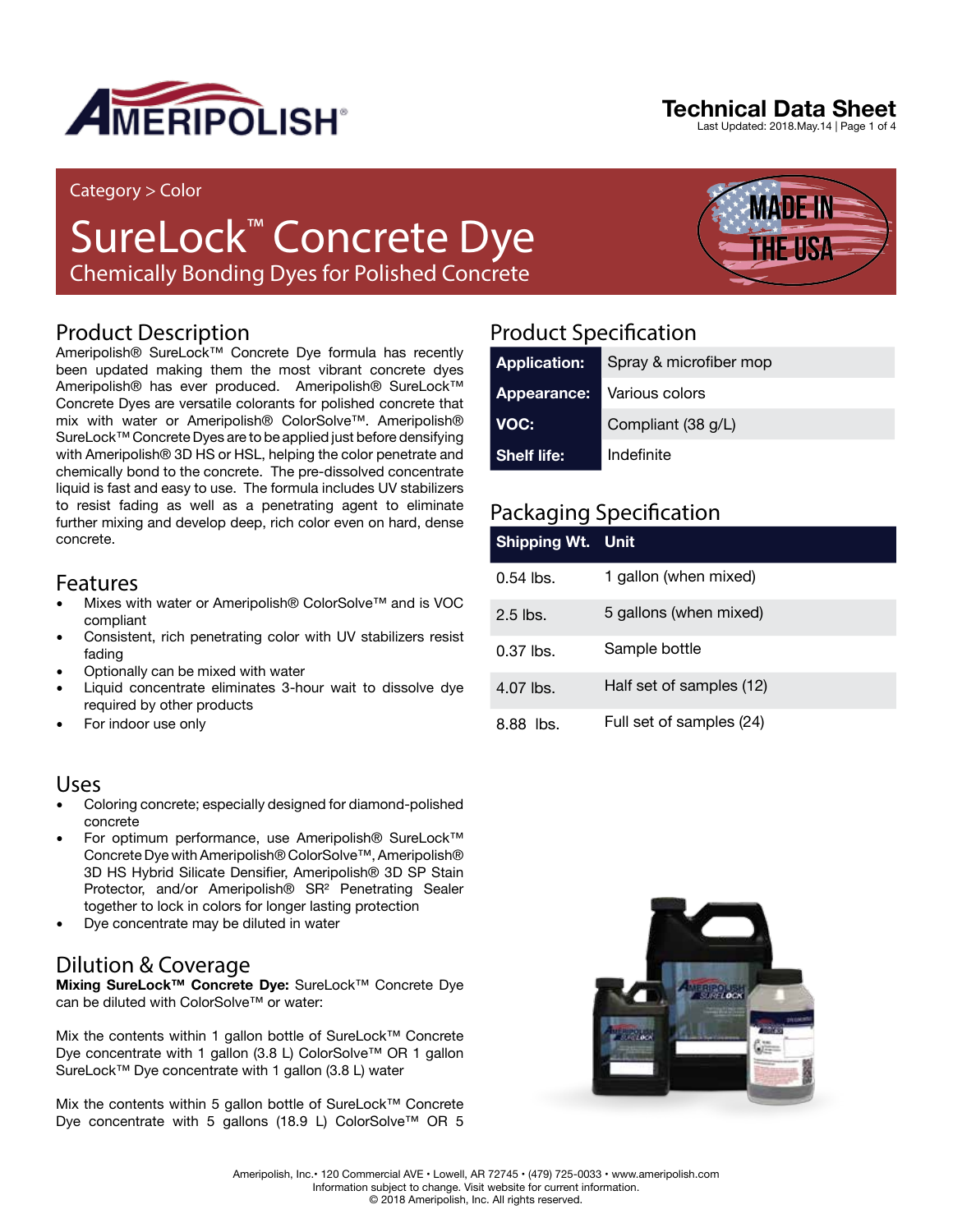

#### Category > Color

# SureLock™ Concrete Dye

Chemically Bonding Dyes for Polished Concrete

## Product Description

Ameripolish® SureLock™ Concrete Dye formula has recently been updated making them the most vibrant concrete dyes Ameripolish® has ever produced. Ameripolish® SureLock™ Concrete Dyes are versatile colorants for polished concrete that mix with water or Ameripolish® ColorSolve™. Ameripolish® SureLock™ Concrete Dyes are to be applied just before densifying with Ameripolish® 3D HS or HSL, helping the color penetrate and chemically bond to the concrete. The pre-dissolved concentrate liquid is fast and easy to use. The formula includes UV stabilizers to resist fading as well as a penetrating agent to eliminate further mixing and develop deep, rich color even on hard, dense concrete.

### Features

- Mixes with water or Ameripolish® ColorSolve™ and is VOC compliant
- Consistent, rich penetrating color with UV stabilizers resist fading
- Optionally can be mixed with water
- Liquid concentrate eliminates 3-hour wait to dissolve dye required by other products
- For indoor use only

### Uses

- Coloring concrete; especially designed for diamond-polished concrete
- For optimum performance, use Ameripolish® SureLock™ Concrete Dye with Ameripolish® ColorSolve™, Ameripolish® 3D HS Hybrid Silicate Densifier, Ameripolish® 3D SP Stain Protector, and/or Ameripolish® SR² Penetrating Sealer together to lock in colors for longer lasting protection
- Dye concentrate may be diluted in water

## Dilution & Coverage

**Mixing SureLock™ Concrete Dye:** SureLock™ Concrete Dye can be diluted with ColorSolve™ or water:

Mix the contents within 1 gallon bottle of SureLock™ Concrete Dye concentrate with 1 gallon (3.8 L) ColorSolve™ OR 1 gallon SureLock™ Dye concentrate with 1 gallon (3.8 L) water

Mix the contents within 5 gallon bottle of SureLock™ Concrete Dye concentrate with 5 gallons (18.9 L) ColorSolve™ OR 5

## Product Specification

| <b>Application:</b> | Spray & microfiber mop |
|---------------------|------------------------|
| Appearance:         | Various colors         |
| VOC:                | Compliant (38 g/L)     |
| <b>Shelf life:</b>  | Indefinite             |

## Packaging Specification

| Shipping Wt. Unit |                          |
|-------------------|--------------------------|
| $0.54$ lbs.       | 1 gallon (when mixed)    |
| $2.5$ lbs.        | 5 gallons (when mixed)   |
| $0.37$ lbs.       | Sample bottle            |
| $4.07$ lbs.       | Half set of samples (12) |
| 8.88 lbs.         | Full set of samples (24) |



## **Technical Data Sheet**

Last Updated: 2018.May.14 | Page 1 of 4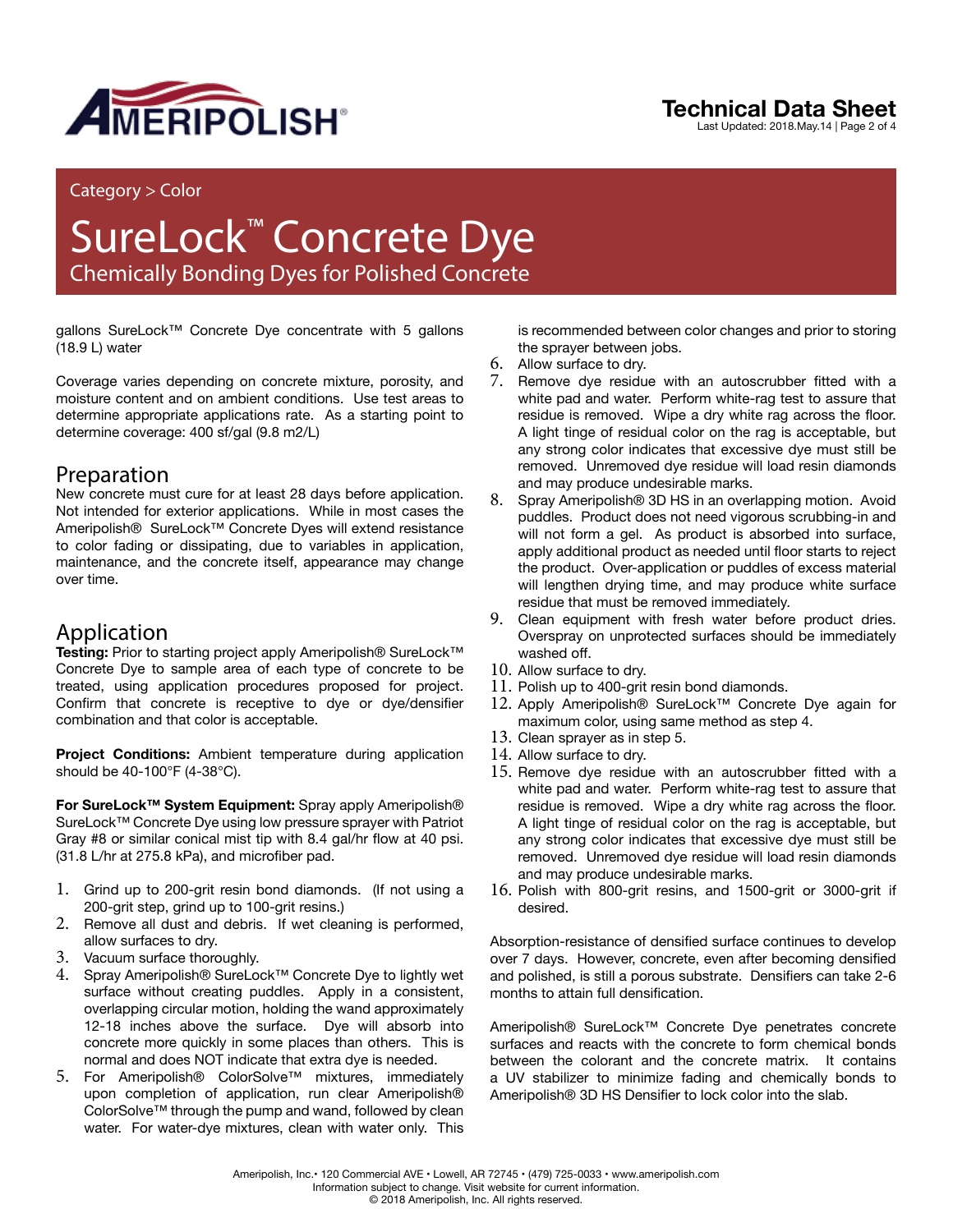

## **Technical Data Sheet**

Last Updated: 2018.May.14 | Page 2 of 4

#### Category > Color

## SureLock™ Concrete Dye Chemically Bonding Dyes for Polished Concrete

gallons SureLock™ Concrete Dye concentrate with 5 gallons (18.9 L) water

Coverage varies depending on concrete mixture, porosity, and moisture content and on ambient conditions. Use test areas to determine appropriate applications rate. As a starting point to determine coverage: 400 sf/gal (9.8 m2/L)

### Preparation

New concrete must cure for at least 28 days before application. Not intended for exterior applications. While in most cases the Ameripolish® SureLock™ Concrete Dyes will extend resistance to color fading or dissipating, due to variables in application, maintenance, and the concrete itself, appearance may change over time.

## Application

**Testing:** Prior to starting project apply Ameripolish® SureLock™ Concrete Dye to sample area of each type of concrete to be treated, using application procedures proposed for project. Confirm that concrete is receptive to dye or dye/densifier combination and that color is acceptable.

**Project Conditions:** Ambient temperature during application should be 40-100°F (4-38°C).

**For SureLock™ System Equipment:** Spray apply Ameripolish® SureLock™ Concrete Dye using low pressure sprayer with Patriot Gray #8 or similar conical mist tip with 8.4 gal/hr flow at 40 psi. (31.8 L/hr at 275.8 kPa), and microfiber pad.

- 1. Grind up to 200-grit resin bond diamonds. (If not using a 200-grit step, grind up to 100-grit resins.)
- 2. Remove all dust and debris. If wet cleaning is performed, allow surfaces to dry.
- 3. Vacuum surface thoroughly.
- 4. Spray Ameripolish® SureLock™ Concrete Dye to lightly wet surface without creating puddles. Apply in a consistent, overlapping circular motion, holding the wand approximately 12-18 inches above the surface. Dye will absorb into concrete more quickly in some places than others. This is normal and does NOT indicate that extra dye is needed.
- 5. For Ameripolish® ColorSolve™ mixtures, immediately upon completion of application, run clear Ameripolish® ColorSolve™ through the pump and wand, followed by clean water. For water-dye mixtures, clean with water only. This

is recommended between color changes and prior to storing the sprayer between jobs.

- 6. Allow surface to dry.
- 7. Remove dye residue with an autoscrubber fitted with a white pad and water. Perform white-rag test to assure that residue is removed. Wipe a dry white rag across the floor. A light tinge of residual color on the rag is acceptable, but any strong color indicates that excessive dye must still be removed. Unremoved dye residue will load resin diamonds and may produce undesirable marks.
- 8. Spray Ameripolish® 3D HS in an overlapping motion. Avoid puddles. Product does not need vigorous scrubbing-in and will not form a gel. As product is absorbed into surface, apply additional product as needed until floor starts to reject the product. Over-application or puddles of excess material will lengthen drying time, and may produce white surface residue that must be removed immediately.
- 9. Clean equipment with fresh water before product dries. Overspray on unprotected surfaces should be immediately washed off.
- 10. Allow surface to dry.
- 11. Polish up to 400-grit resin bond diamonds.
- 12. Apply Ameripolish® SureLock™ Concrete Dye again for maximum color, using same method as step 4.
- 13. Clean sprayer as in step 5.
- 14. Allow surface to dry.
- 15. Remove dye residue with an autoscrubber fitted with a white pad and water. Perform white-rag test to assure that residue is removed. Wipe a dry white rag across the floor. A light tinge of residual color on the rag is acceptable, but any strong color indicates that excessive dye must still be removed. Unremoved dye residue will load resin diamonds and may produce undesirable marks.
- 16. Polish with 800-grit resins, and 1500-grit or 3000-grit if desired.

Absorption-resistance of densified surface continues to develop over 7 days. However, concrete, even after becoming densified and polished, is still a porous substrate. Densifiers can take 2-6 months to attain full densification.

Ameripolish® SureLock™ Concrete Dye penetrates concrete surfaces and reacts with the concrete to form chemical bonds between the colorant and the concrete matrix. It contains a UV stabilizer to minimize fading and chemically bonds to Ameripolish® 3D HS Densifier to lock color into the slab.

Ameripolish, Inc.• 120 Commercial AVE • Lowell, AR 72745 • (479) 725-0033 • www.ameripolish.com Information subject to change. Visit website for current information. © 2018 Ameripolish, Inc. All rights reserved.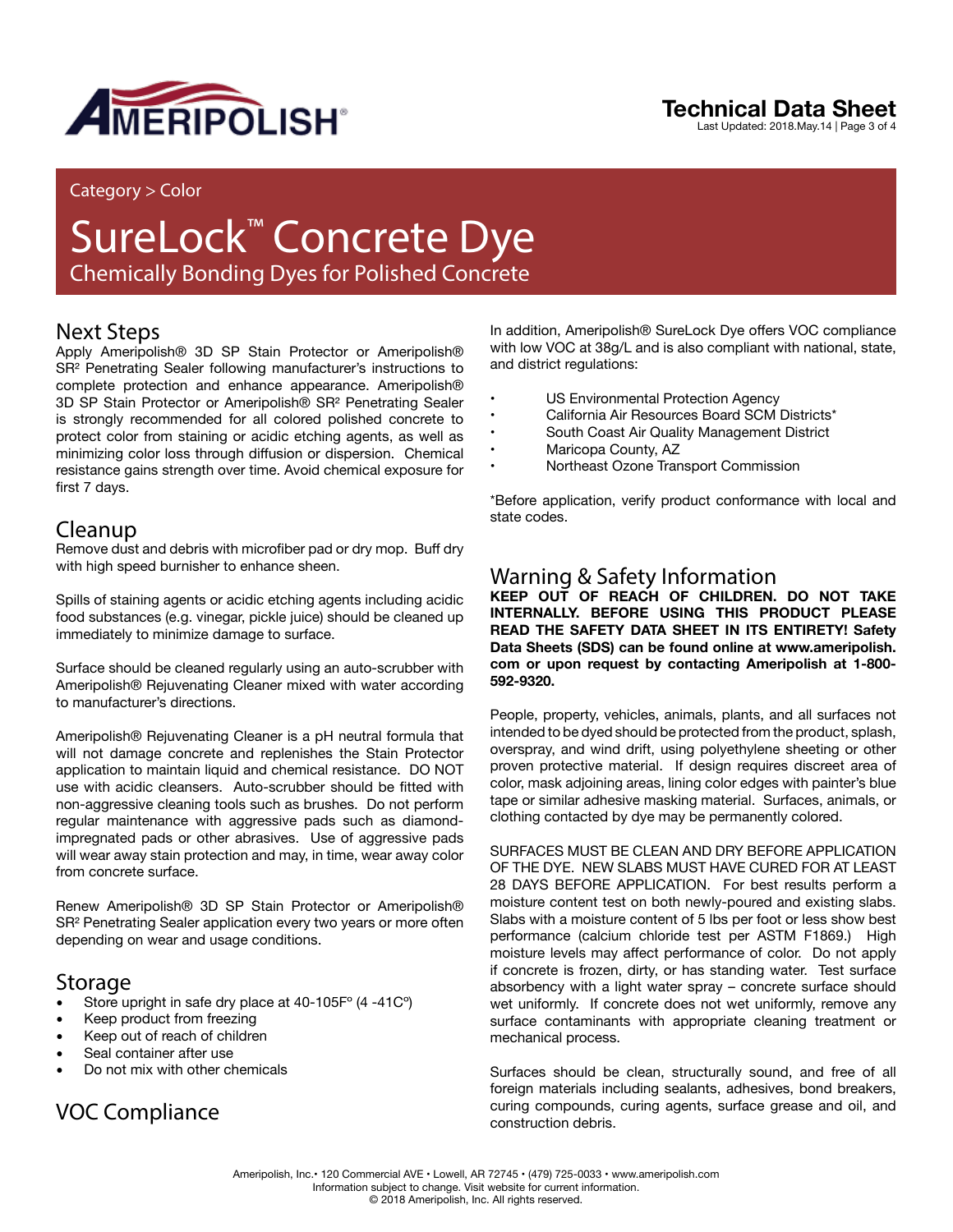

## **Technical Data Sheet**

Last Updated: 2018.May.14 | Page 3 of 4

#### Category > Color

## SureLock™ Concrete Dye Chemically Bonding Dyes for Polished Concrete

## Next Steps

Apply Ameripolish® 3D SP Stain Protector or Ameripolish® SR<sup>2</sup> Penetrating Sealer following manufacturer's instructions to complete protection and enhance appearance. Ameripolish® 3D SP Stain Protector or Ameripolish® SR² Penetrating Sealer is strongly recommended for all colored polished concrete to protect color from staining or acidic etching agents, as well as minimizing color loss through diffusion or dispersion. Chemical resistance gains strength over time. Avoid chemical exposure for first 7 days.

### Cleanup

Remove dust and debris with microfiber pad or dry mop. Buff dry with high speed burnisher to enhance sheen.

Spills of staining agents or acidic etching agents including acidic food substances (e.g. vinegar, pickle juice) should be cleaned up immediately to minimize damage to surface.

Surface should be cleaned regularly using an auto-scrubber with Ameripolish® Rejuvenating Cleaner mixed with water according to manufacturer's directions.

Ameripolish® Rejuvenating Cleaner is a pH neutral formula that will not damage concrete and replenishes the Stain Protector application to maintain liquid and chemical resistance. DO NOT use with acidic cleansers. Auto-scrubber should be fitted with non-aggressive cleaning tools such as brushes. Do not perform regular maintenance with aggressive pads such as diamondimpregnated pads or other abrasives. Use of aggressive pads will wear away stain protection and may, in time, wear away color from concrete surface.

Renew Ameripolish® 3D SP Stain Protector or Ameripolish® SR<sup>2</sup> Penetrating Sealer application every two years or more often depending on wear and usage conditions.

### Storage

- Store upright in safe dry place at 40-105F° (4 -41C°)
- Keep product from freezing
- Keep out of reach of children
- Seal container after use
- Do not mix with other chemicals

## VOC Compliance

In addition, Ameripolish® SureLock Dye offers VOC compliance with low VOC at 38g/L and is also compliant with national, state, and district regulations:

- US Environmental Protection Agency<br>California Air Besources Board SCM
- California Air Resources Board SCM Districts\*
- South Coast Air Quality Management District
- Maricopa County, AZ
- Northeast Ozone Transport Commission

\*Before application, verify product conformance with local and state codes.

## Warning & Safety Information

**KEEP OUT OF REACH OF CHILDREN. DO NOT TAKE INTERNALLY. BEFORE USING THIS PRODUCT PLEASE READ THE SAFETY DATA SHEET IN ITS ENTIRETY! Safety Data Sheets (SDS) can be found online at www.ameripolish. com or upon request by contacting Ameripolish at 1-800- 592-9320.**

People, property, vehicles, animals, plants, and all surfaces not intended to be dyed should be protected from the product, splash, overspray, and wind drift, using polyethylene sheeting or other proven protective material. If design requires discreet area of color, mask adjoining areas, lining color edges with painter's blue tape or similar adhesive masking material. Surfaces, animals, or clothing contacted by dye may be permanently colored.

SURFACES MUST BE CLEAN AND DRY BEFORE APPLICATION OF THE DYE. NEW SLABS MUST HAVE CURED FOR AT LEAST 28 DAYS BEFORE APPLICATION. For best results perform a moisture content test on both newly-poured and existing slabs. Slabs with a moisture content of 5 lbs per foot or less show best performance (calcium chloride test per ASTM F1869.) High moisture levels may affect performance of color. Do not apply if concrete is frozen, dirty, or has standing water. Test surface absorbency with a light water spray – concrete surface should wet uniformly. If concrete does not wet uniformly, remove any surface contaminants with appropriate cleaning treatment or mechanical process.

Surfaces should be clean, structurally sound, and free of all foreign materials including sealants, adhesives, bond breakers, curing compounds, curing agents, surface grease and oil, and construction debris.

Ameripolish, Inc.• 120 Commercial AVE • Lowell, AR 72745 • (479) 725-0033 • www.ameripolish.com Information subject to change. Visit website for current information. © 2018 Ameripolish, Inc. All rights reserved.